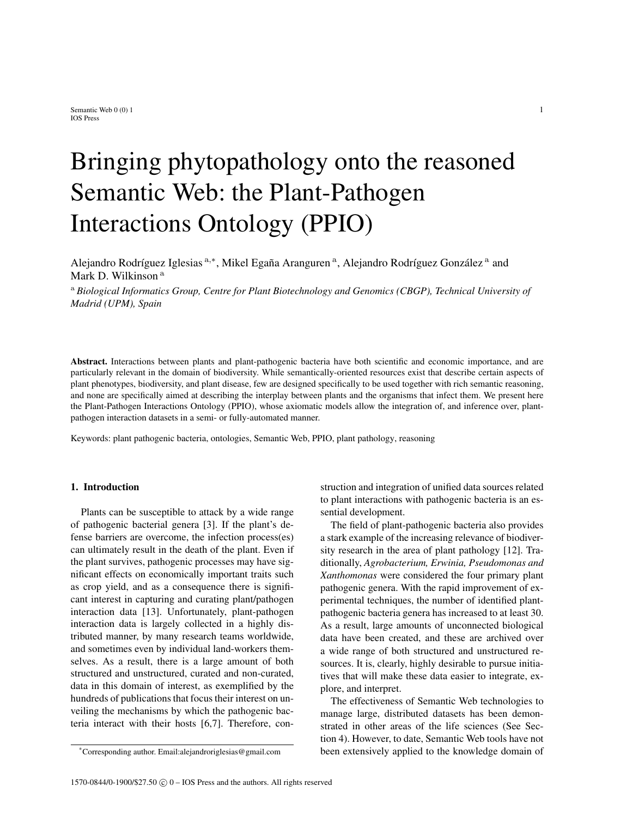# Bringing phytopathology onto the reasoned Semantic Web: the Plant-Pathogen Interactions Ontology (PPIO)

Alejandro Rodríguez Iglesias a,\*, Mikel Egaña Aranguren <sup>a</sup>, Alejandro Rodríguez González <sup>a</sup> and Mark D. Wilkinson<sup>a</sup>

<sup>a</sup> *Biological Informatics Group, Centre for Plant Biotechnology and Genomics (CBGP), Technical University of Madrid (UPM), Spain*

Abstract. Interactions between plants and plant-pathogenic bacteria have both scientific and economic importance, and are particularly relevant in the domain of biodiversity. While semantically-oriented resources exist that describe certain aspects of plant phenotypes, biodiversity, and plant disease, few are designed specifically to be used together with rich semantic reasoning, and none are specifically aimed at describing the interplay between plants and the organisms that infect them. We present here the Plant-Pathogen Interactions Ontology (PPIO), whose axiomatic models allow the integration of, and inference over, plantpathogen interaction datasets in a semi- or fully-automated manner.

Keywords: plant pathogenic bacteria, ontologies, Semantic Web, PPIO, plant pathology, reasoning

### 1. Introduction

Plants can be susceptible to attack by a wide range of pathogenic bacterial genera [3]. If the plant's defense barriers are overcome, the infection process(es) can ultimately result in the death of the plant. Even if the plant survives, pathogenic processes may have significant effects on economically important traits such as crop yield, and as a consequence there is significant interest in capturing and curating plant/pathogen interaction data [13]. Unfortunately, plant-pathogen interaction data is largely collected in a highly distributed manner, by many research teams worldwide, and sometimes even by individual land-workers themselves. As a result, there is a large amount of both structured and unstructured, curated and non-curated, data in this domain of interest, as exemplified by the hundreds of publications that focus their interest on unveiling the mechanisms by which the pathogenic bacteria interact with their hosts [6,7]. Therefore, construction and integration of unified data sources related to plant interactions with pathogenic bacteria is an essential development.

The field of plant-pathogenic bacteria also provides a stark example of the increasing relevance of biodiversity research in the area of plant pathology [12]. Traditionally, *Agrobacterium, Erwinia, Pseudomonas and Xanthomonas* were considered the four primary plant pathogenic genera. With the rapid improvement of experimental techniques, the number of identified plantpathogenic bacteria genera has increased to at least 30. As a result, large amounts of unconnected biological data have been created, and these are archived over a wide range of both structured and unstructured resources. It is, clearly, highly desirable to pursue initiatives that will make these data easier to integrate, explore, and interpret.

The effectiveness of Semantic Web technologies to manage large, distributed datasets has been demonstrated in other areas of the life sciences (See Section 4). However, to date, Semantic Web tools have not been extensively applied to the knowledge domain of

<sup>\*</sup>Corresponding author. Email:alejandroriglesias@gmail.com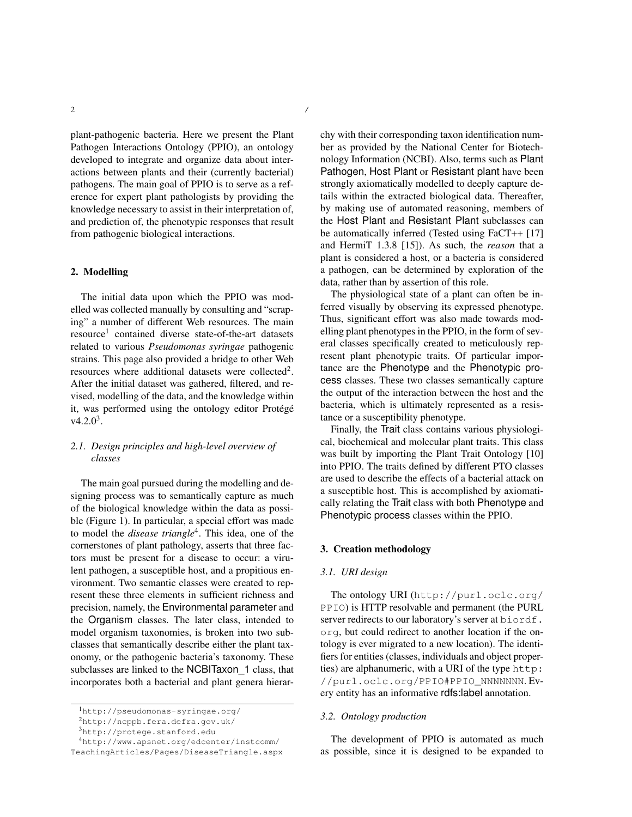plant-pathogenic bacteria. Here we present the Plant Pathogen Interactions Ontology (PPIO), an ontology developed to integrate and organize data about interactions between plants and their (currently bacterial) pathogens. The main goal of PPIO is to serve as a reference for expert plant pathologists by providing the knowledge necessary to assist in their interpretation of, and prediction of, the phenotypic responses that result from pathogenic biological interactions.

## 2. Modelling

The initial data upon which the PPIO was modelled was collected manually by consulting and "scraping" a number of different Web resources. The main resource<sup>1</sup> contained diverse state-of-the-art datasets related to various *Pseudomonas syringae* pathogenic strains. This page also provided a bridge to other Web resources where additional datasets were collected<sup>2</sup>. After the initial dataset was gathered, filtered, and revised, modelling of the data, and the knowledge within it, was performed using the ontology editor Protégé  $v4.2.0<sup>3</sup>$ .

# *2.1. Design principles and high-level overview of classes*

The main goal pursued during the modelling and designing process was to semantically capture as much of the biological knowledge within the data as possible (Figure 1). In particular, a special effort was made to model the *disease triangle*<sup>4</sup> . This idea, one of the cornerstones of plant pathology, asserts that three factors must be present for a disease to occur: a virulent pathogen, a susceptible host, and a propitious environment. Two semantic classes were created to represent these three elements in sufficient richness and precision, namely, the Environmental parameter and the Organism classes. The later class, intended to model organism taxonomies, is broken into two subclasses that semantically describe either the plant taxonomy, or the pathogenic bacteria's taxonomy. These subclasses are linked to the NCBITaxon 1 class, that incorporates both a bacterial and plant genera hierarchy with their corresponding taxon identification number as provided by the National Center for Biotechnology Information (NCBI). Also, terms such as Plant Pathogen, Host Plant or Resistant plant have been strongly axiomatically modelled to deeply capture details within the extracted biological data. Thereafter, by making use of automated reasoning, members of the Host Plant and Resistant Plant subclasses can be automatically inferred (Tested using FaCT++ [17] and HermiT 1.3.8 [15]). As such, the *reason* that a plant is considered a host, or a bacteria is considered a pathogen, can be determined by exploration of the data, rather than by assertion of this role.

The physiological state of a plant can often be inferred visually by observing its expressed phenotype. Thus, significant effort was also made towards modelling plant phenotypes in the PPIO, in the form of several classes specifically created to meticulously represent plant phenotypic traits. Of particular importance are the Phenotype and the Phenotypic process classes. These two classes semantically capture the output of the interaction between the host and the bacteria, which is ultimately represented as a resistance or a susceptibility phenotype.

Finally, the Trait class contains various physiological, biochemical and molecular plant traits. This class was built by importing the Plant Trait Ontology [10] into PPIO. The traits defined by different PTO classes are used to describe the effects of a bacterial attack on a susceptible host. This is accomplished by axiomatically relating the Trait class with both Phenotype and Phenotypic process classes within the PPIO.

### 3. Creation methodology

#### *3.1. URI design*

The ontology URI (http://purl.oclc.org/ PPIO) is HTTP resolvable and permanent (the PURL server redirects to our laboratory's server at biordf. org, but could redirect to another location if the ontology is ever migrated to a new location). The identifiers for entities (classes, individuals and object properties) are alphanumeric, with a URI of the type http: //purl.oclc.org/PPIO#PPIO\_NNNNNNN. Every entity has an informative rdfs:label annotation.

### *3.2. Ontology production*

The development of PPIO is automated as much as possible, since it is designed to be expanded to

<sup>1</sup>http://pseudomonas-syringae.org/

<sup>2</sup>http://ncppb.fera.defra.gov.uk/

<sup>3</sup>http://protege.stanford.edu

<sup>4</sup>http://www.apsnet.org/edcenter/instcomm/

TeachingArticles/Pages/DiseaseTriangle.aspx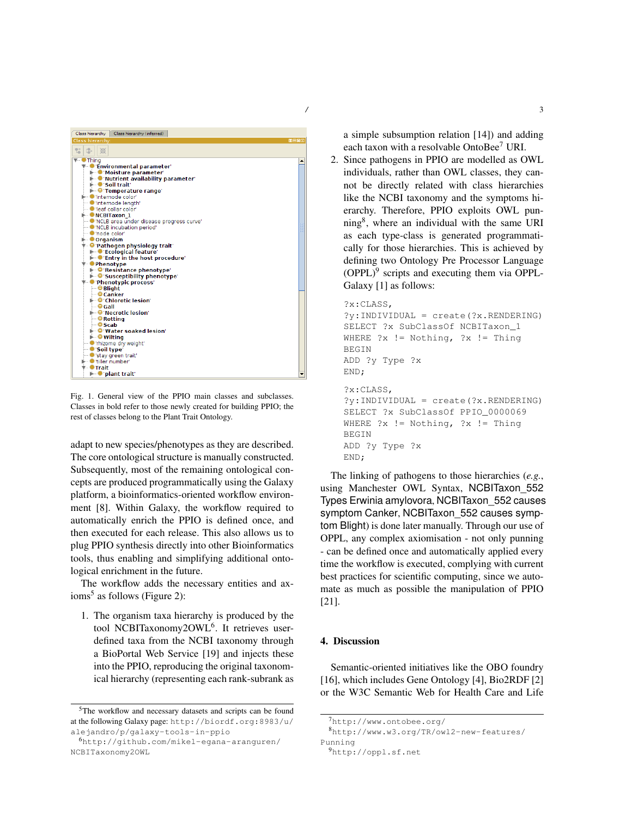

Fig. 1. General view of the PPIO main classes and subclasses. Classes in bold refer to those newly created for building PPIO; the rest of classes belong to the Plant Trait Ontology.

adapt to new species/phenotypes as they are described. The core ontological structure is manually constructed. Subsequently, most of the remaining ontological concepts are produced programmatically using the Galaxy platform, a bioinformatics-oriented workflow environment [8]. Within Galaxy, the workflow required to automatically enrich the PPIO is defined once, and then executed for each release. This also allows us to plug PPIO synthesis directly into other Bioinformatics tools, thus enabling and simplifying additional ontological enrichment in the future.

The workflow adds the necessary entities and axioms<sup>5</sup> as follows (Figure 2):

1. The organism taxa hierarchy is produced by the tool NCBITaxonomy2OWL<sup>6</sup>. It retrieves userdefined taxa from the NCBI taxonomy through a BioPortal Web Service [19] and injects these into the PPIO, reproducing the original taxonomical hierarchy (representing each rank-subrank as a simple subsumption relation [14]) and adding each taxon with a resolvable OntoBee<sup>7</sup> URI.

2. Since pathogens in PPIO are modelled as OWL individuals, rather than OWL classes, they cannot be directly related with class hierarchies like the NCBI taxonomy and the symptoms hierarchy. Therefore, PPIO exploits OWL punning<sup>8</sup>, where an individual with the same URI as each type-class is generated programmatically for those hierarchies. This is achieved by defining two Ontology Pre Processor Language  $(OPPL)^9$  scripts and executing them via OPPL-Galaxy [1] as follows:

```
?x:CLASS,
?y:INDIVIDUAL = create(?x.RENDERING)
SELECT ?x SubClassOf NCBITaxon_1
WHERE ?x := Notbing, ?x := ThingBEGIN
ADD ?y Type ?x
END;
?x:CLASS,
?y:INDIVIDUAL = create(?x.RENDERING)
SELECT ?x SubClassOf PPIO_0000069
WHERE ?x != Nothing, ?x != Thing
BEGIN
ADD ?y Type ?x
END;
```
The linking of pathogens to those hierarchies (*e.g.*, using Manchester OWL Syntax, NCBITaxon\_552 Types Erwinia amylovora, NCBITaxon\_552 causes symptom Canker, NCBITaxon\_552 causes symptom Blight) is done later manually. Through our use of OPPL, any complex axiomisation - not only punning - can be defined once and automatically applied every time the workflow is executed, complying with current best practices for scientific computing, since we automate as much as possible the manipulation of PPIO [21].

# 4. Discussion

Semantic-oriented initiatives like the OBO foundry [16], which includes Gene Ontology [4], Bio2RDF [2] or the W3C Semantic Web for Health Care and Life

<sup>5</sup>The workflow and necessary datasets and scripts can be found at the following Galaxy page: http://biordf.org:8983/u/ alejandro/p/galaxy-tools-in-ppio

<sup>6</sup>http://github.com/mikel-egana-aranguren/ NCBITaxonomy2OWL

<sup>7</sup>http://www.ontobee.org/

<sup>8</sup>http://www.w3.org/TR/owl2-new-features/ Punning

<sup>9</sup>http://oppl.sf.net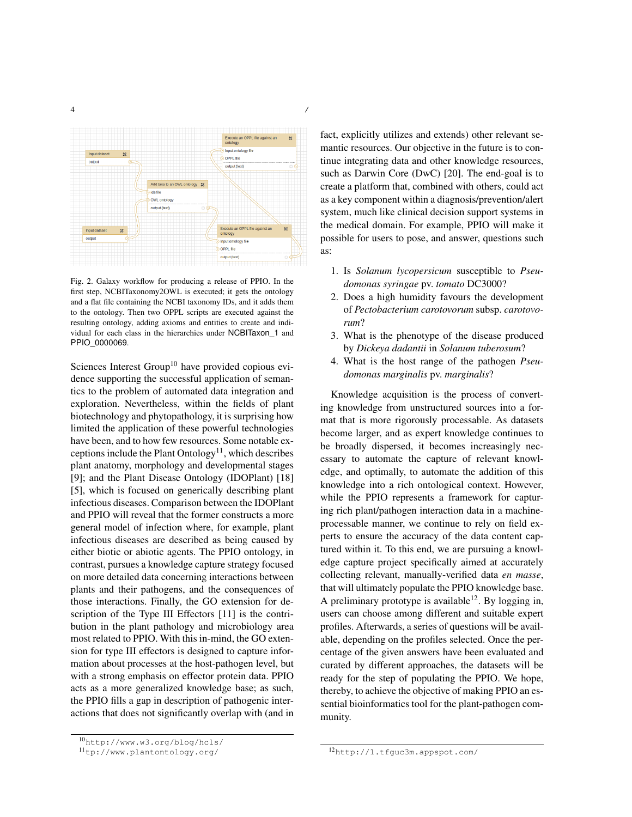

Fig. 2. Galaxy workflow for producing a release of PPIO. In the first step, NCBITaxonomy2OWL is executed; it gets the ontology and a flat file containing the NCBI taxonomy IDs, and it adds them to the ontology. Then two OPPL scripts are executed against the resulting ontology, adding axioms and entities to create and individual for each class in the hierarchies under NCBITaxon\_1 and PPIO\_0000069.

Sciences Interest Group<sup>10</sup> have provided copious evidence supporting the successful application of semantics to the problem of automated data integration and exploration. Nevertheless, within the fields of plant biotechnology and phytopathology, it is surprising how limited the application of these powerful technologies have been, and to how few resources. Some notable exceptions include the Plant  $Ontology<sup>11</sup>$ , which describes plant anatomy, morphology and developmental stages [9]; and the Plant Disease Ontology (IDOPlant) [18] [5], which is focused on generically describing plant infectious diseases. Comparison between the IDOPlant and PPIO will reveal that the former constructs a more general model of infection where, for example, plant infectious diseases are described as being caused by either biotic or abiotic agents. The PPIO ontology, in contrast, pursues a knowledge capture strategy focused on more detailed data concerning interactions between plants and their pathogens, and the consequences of those interactions. Finally, the GO extension for description of the Type III Effectors [11] is the contribution in the plant pathology and microbiology area most related to PPIO. With this in-mind, the GO extension for type III effectors is designed to capture information about processes at the host-pathogen level, but with a strong emphasis on effector protein data. PPIO acts as a more generalized knowledge base; as such, the PPIO fills a gap in description of pathogenic interactions that does not significantly overlap with (and in fact, explicitly utilizes and extends) other relevant semantic resources. Our objective in the future is to continue integrating data and other knowledge resources, such as Darwin Core (DwC) [20]. The end-goal is to create a platform that, combined with others, could act as a key component within a diagnosis/prevention/alert system, much like clinical decision support systems in the medical domain. For example, PPIO will make it possible for users to pose, and answer, questions such as:

- 1. Is *Solanum lycopersicum* susceptible to *Pseudomonas syringae* pv. *tomato* DC3000?
- 2. Does a high humidity favours the development of *Pectobacterium carotovorum* subsp. *carotovorum*?
- 3. What is the phenotype of the disease produced by *Dickeya dadantii* in *Solanum tuberosum*?
- 4. What is the host range of the pathogen *Pseudomonas marginalis* pv. *marginalis*?

Knowledge acquisition is the process of converting knowledge from unstructured sources into a format that is more rigorously processable. As datasets become larger, and as expert knowledge continues to be broadly dispersed, it becomes increasingly necessary to automate the capture of relevant knowledge, and optimally, to automate the addition of this knowledge into a rich ontological context. However, while the PPIO represents a framework for capturing rich plant/pathogen interaction data in a machineprocessable manner, we continue to rely on field experts to ensure the accuracy of the data content captured within it. To this end, we are pursuing a knowledge capture project specifically aimed at accurately collecting relevant, manually-verified data *en masse*, that will ultimately populate the PPIO knowledge base. A preliminary prototype is available<sup>12</sup>. By logging in, users can choose among different and suitable expert profiles. Afterwards, a series of questions will be available, depending on the profiles selected. Once the percentage of the given answers have been evaluated and curated by different approaches, the datasets will be ready for the step of populating the PPIO. We hope, thereby, to achieve the objective of making PPIO an essential bioinformatics tool for the plant-pathogen community.

<sup>10</sup>http://www.w3.org/blog/hcls/

<sup>11</sup>tp://www.plantontology.org/

<sup>12</sup>http://1.tfguc3m.appspot.com/